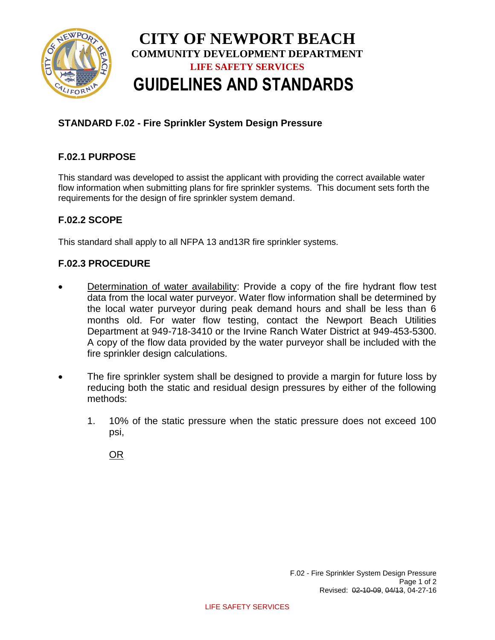

# **CITY OF NEWPORT BEACH COMMUNITY DEVELOPMENT DEPARTMENT LIFE SAFETY SERVICES GUIDELINES AND STANDARDS**

# **STANDARD F.02 - Fire Sprinkler System Design Pressure**

# **F.02.1 PURPOSE**

This standard was developed to assist the applicant with providing the correct available water flow information when submitting plans for fire sprinkler systems. This document sets forth the requirements for the design of fire sprinkler system demand.

### **F.02.2 SCOPE**

This standard shall apply to all NFPA 13 and13R fire sprinkler systems.

#### **F.02.3 PROCEDURE**

- Determination of water availability: Provide a copy of the fire hydrant flow test data from the local water purveyor. Water flow information shall be determined by the local water purveyor during peak demand hours and shall be less than 6 months old. For water flow testing, contact the Newport Beach Utilities Department at 949-718-3410 or the Irvine Ranch Water District at 949-453-5300. A copy of the flow data provided by the water purveyor shall be included with the fire sprinkler design calculations.
- The fire sprinkler system shall be designed to provide a margin for future loss by reducing both the static and residual design pressures by either of the following methods:
	- 1. 10% of the static pressure when the static pressure does not exceed 100 psi,

OR